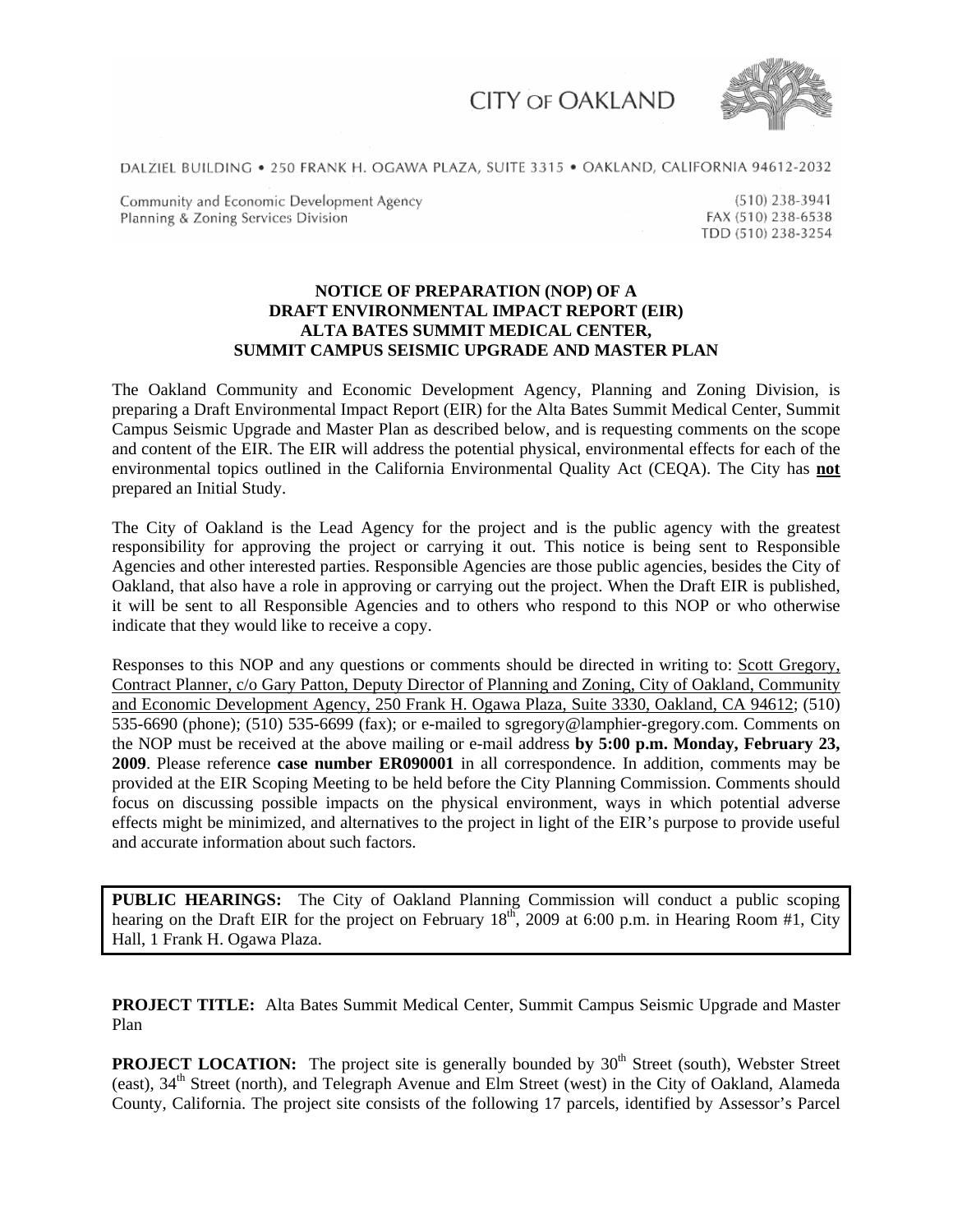**CITY OF OAKLAND** 



DALZIEL BUILDING . 250 FRANK H. OGAWA PLAZA, SUITE 3315 . OAKLAND, CALIFORNIA 94612-2032

Community and Economic Development Agency Planning & Zoning Services Division

 $(510)$  238-3941 FAX (510) 238-6538 TDD (510) 238-3254

## **NOTICE OF PREPARATION (NOP) OF A DRAFT ENVIRONMENTAL IMPACT REPORT (EIR) ALTA BATES SUMMIT MEDICAL CENTER, SUMMIT CAMPUS SEISMIC UPGRADE AND MASTER PLAN**

The Oakland Community and Economic Development Agency, Planning and Zoning Division, is preparing a Draft Environmental Impact Report (EIR) for the Alta Bates Summit Medical Center, Summit Campus Seismic Upgrade and Master Plan as described below, and is requesting comments on the scope and content of the EIR. The EIR will address the potential physical, environmental effects for each of the environmental topics outlined in the California Environmental Quality Act (CEQA). The City has **not** prepared an Initial Study.

The City of Oakland is the Lead Agency for the project and is the public agency with the greatest responsibility for approving the project or carrying it out. This notice is being sent to Responsible Agencies and other interested parties. Responsible Agencies are those public agencies, besides the City of Oakland, that also have a role in approving or carrying out the project. When the Draft EIR is published, it will be sent to all Responsible Agencies and to others who respond to this NOP or who otherwise indicate that they would like to receive a copy.

Responses to this NOP and any questions or comments should be directed in writing to: Scott Gregory, Contract Planner, c/o Gary Patton, Deputy Director of Planning and Zoning, City of Oakland, Community and Economic Development Agency, 250 Frank H. Ogawa Plaza, Suite 3330, Oakland, CA 94612; (510) 535-6690 (phone); (510) 535-6699 (fax); or e-mailed to sgregory@lamphier-gregory.com. Comments on the NOP must be received at the above mailing or e-mail address **by 5:00 p.m. Monday, February 23, 2009**. Please reference **case number ER090001** in all correspondence. In addition, comments may be provided at the EIR Scoping Meeting to be held before the City Planning Commission. Comments should focus on discussing possible impacts on the physical environment, ways in which potential adverse effects might be minimized, and alternatives to the project in light of the EIR's purpose to provide useful and accurate information about such factors.

**PUBLIC HEARINGS:** The City of Oakland Planning Commission will conduct a public scoping hearing on the Draft EIR for the project on February 18<sup>th</sup>, 2009 at 6:00 p.m. in Hearing Room #1, City Hall, 1 Frank H. Ogawa Plaza.

**PROJECT TITLE:** Alta Bates Summit Medical Center, Summit Campus Seismic Upgrade and Master Plan

**PROJECT LOCATION:** The project site is generally bounded by 30<sup>th</sup> Street (south), Webster Street (east), 34th Street (north), and Telegraph Avenue and Elm Street (west) in the City of Oakland, Alameda County, California. The project site consists of the following 17 parcels, identified by Assessor's Parcel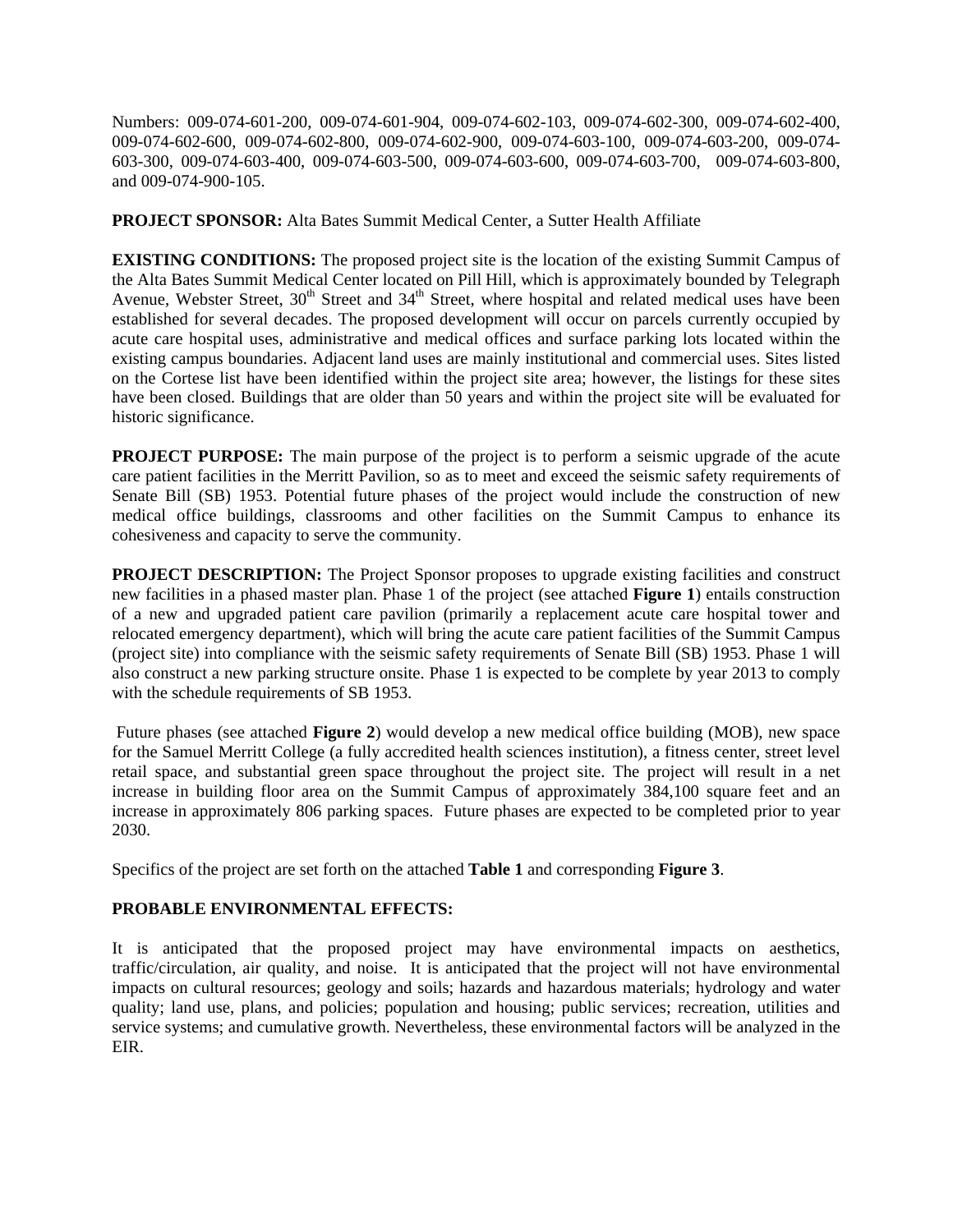Numbers: 009-074-601-200, 009-074-601-904, 009-074-602-103, 009-074-602-300, 009-074-602-400, 009-074-602-600, 009-074-602-800, 009-074-602-900, 009-074-603-100, 009-074-603-200, 009-074- 603-300, 009-074-603-400, 009-074-603-500, 009-074-603-600, 009-074-603-700, 009-074-603-800, and 009-074-900-105.

**PROJECT SPONSOR:** Alta Bates Summit Medical Center, a Sutter Health Affiliate

**EXISTING CONDITIONS:** The proposed project site is the location of the existing Summit Campus of the Alta Bates Summit Medical Center located on Pill Hill, which is approximately bounded by Telegraph Avenue, Webster Street, 30<sup>th</sup> Street and 34<sup>th</sup> Street, where hospital and related medical uses have been established for several decades. The proposed development will occur on parcels currently occupied by acute care hospital uses, administrative and medical offices and surface parking lots located within the existing campus boundaries. Adjacent land uses are mainly institutional and commercial uses. Sites listed on the Cortese list have been identified within the project site area; however, the listings for these sites have been closed. Buildings that are older than 50 years and within the project site will be evaluated for historic significance.

**PROJECT PURPOSE:** The main purpose of the project is to perform a seismic upgrade of the acute care patient facilities in the Merritt Pavilion, so as to meet and exceed the seismic safety requirements of Senate Bill (SB) 1953. Potential future phases of the project would include the construction of new medical office buildings, classrooms and other facilities on the Summit Campus to enhance its cohesiveness and capacity to serve the community.

**PROJECT DESCRIPTION:** The Project Sponsor proposes to upgrade existing facilities and construct new facilities in a phased master plan. Phase 1 of the project (see attached **Figure 1**) entails construction of a new and upgraded patient care pavilion (primarily a replacement acute care hospital tower and relocated emergency department), which will bring the acute care patient facilities of the Summit Campus (project site) into compliance with the seismic safety requirements of Senate Bill (SB) 1953. Phase 1 will also construct a new parking structure onsite. Phase 1 is expected to be complete by year 2013 to comply with the schedule requirements of SB 1953.

 Future phases (see attached **Figure 2**) would develop a new medical office building (MOB), new space for the Samuel Merritt College (a fully accredited health sciences institution), a fitness center, street level retail space, and substantial green space throughout the project site. The project will result in a net increase in building floor area on the Summit Campus of approximately 384,100 square feet and an increase in approximately 806 parking spaces. Future phases are expected to be completed prior to year 2030.

Specifics of the project are set forth on the attached **Table 1** and corresponding **Figure 3**.

## **PROBABLE ENVIRONMENTAL EFFECTS:**

It is anticipated that the proposed project may have environmental impacts on aesthetics, traffic/circulation, air quality, and noise. It is anticipated that the project will not have environmental impacts on cultural resources; geology and soils; hazards and hazardous materials; hydrology and water quality; land use, plans, and policies; population and housing; public services; recreation, utilities and service systems; and cumulative growth. Nevertheless, these environmental factors will be analyzed in the EIR.